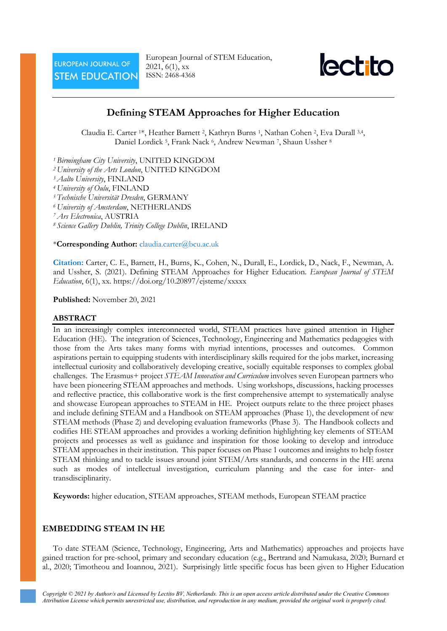European Journal of STEM Education, 2021, 6(1), xx ISSN: 2468-4368



# **Defining STEAM Approaches for Higher Education**

Claudia E. Carter 1\*, Heather Barnett 2, Kathryn Burns 1, Nathan Cohen 2, Eva Durall 3,4, Daniel Lordick 5, Frank Nack 6, Andrew Newman 7, Shaun Ussher <sup>8</sup>

*<sup>1</sup> Birmingham City University*, UNITED KINGDOM

- *<sup>2</sup> University of the Arts London*, UNITED KINGDOM
- *<sup>3</sup> Aalto University*, FINLAND
- *<sup>4</sup> University of Oulu*, FINLAND
- *<sup>5</sup> Technische Universität Dresden*, GERMANY
- *<sup>6</sup> University of Amsterdam*, NETHERLANDS

*<sup>7</sup> Ars Electronica*, AUSTRIA

*<sup>8</sup> Science Gallery Dublin, Trinity College Dublin*, IRELAND

#### \***Corresponding Author:** [claudia.carter@bcu.ac.uk](mailto:claudia.carter@bcu.ac.uk)

**Citation:** Carter, C. E., Barnett, H., Burns, K., Cohen, N., Durall, E., Lordick, D., Nack, F., Newman, A. and Ussher, S. (2021). Defining STEAM Approaches for Higher Education. *European Journal of STEM Education*, 6(1), xx. https://doi.org/10.20897/ejsteme/xxxxx

**Published:** November 20, 2021

# **ABSTRACT**

In an increasingly complex interconnected world, STEAM practices have gained attention in Higher Education (HE). The integration of Sciences, Technology, Engineering and Mathematics pedagogies with those from the Arts takes many forms with myriad intentions, processes and outcomes. Common aspirations pertain to equipping students with interdisciplinary skills required for the jobs market, increasing intellectual curiosity and collaboratively developing creative, socially equitable responses to complex global challenges. The Erasmus+ project *STEAM Innovation and Curriculum* involves seven European partners who have been pioneering STEAM approaches and methods. Using workshops, discussions, hacking processes and reflective practice, this collaborative work is the first comprehensive attempt to systematically analyse and showcase European approaches to STEAM in HE. Project outputs relate to the three project phases and include defining STEAM and a Handbook on STEAM approaches (Phase 1), the development of new STEAM methods (Phase 2) and developing evaluation frameworks (Phase 3). The Handbook collects and codifies HE STEAM approaches and provides a working definition highlighting key elements of STEAM projects and processes as well as guidance and inspiration for those looking to develop and introduce STEAM approaches in their institution. This paper focuses on Phase 1 outcomes and insights to help foster STEAM thinking and to tackle issues around joint STEM/Arts standards, and concerns in the HE arena such as modes of intellectual investigation, curriculum planning and the case for inter- and transdisciplinarity.

**Keywords:** higher education, STEAM approaches, STEAM methods, European STEAM practice

# **EMBEDDING STEAM IN HE**

To date STEAM (Science, Technology, Engineering, Arts and Mathematics) approaches and projects have gained traction for pre-school, primary and secondary education (e.g., Bertrand and Namukasa, 2020; Burnard et al., 2020; Timotheou and Ioannou, 2021). Surprisingly little specific focus has been given to Higher Education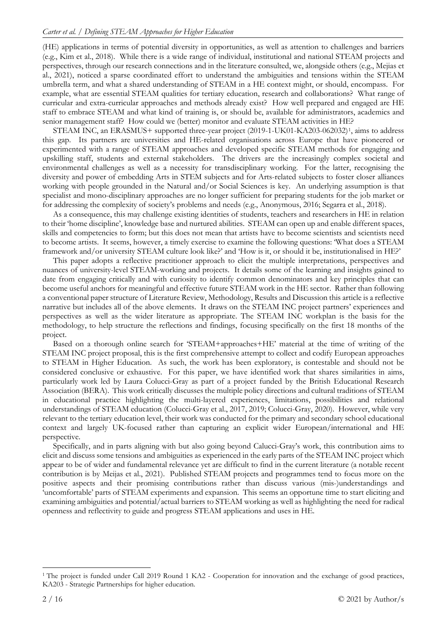(HE) applications in terms of potential diversity in opportunities, as well as attention to challenges and barriers (e.g., Kim et al., 2018). While there is a wide range of individual, institutional and national STEAM projects and perspectives, through our research connections and in the literature consulted, we, alongside others (e.g., Mejias et al., 2021), noticed a sparse coordinated effort to understand the ambiguities and tensions within the STEAM umbrella term, and what a shared understanding of STEAM in a HE context might, or should, encompass. For example, what are essential STEAM qualities for tertiary education, research and collaborations? What range of curricular and extra-curricular approaches and methods already exist? How well prepared and engaged are HE staff to embrace STEAM and what kind of training is, or should be, available for administrators, academics and senior management staff? How could we (better) monitor and evaluate STEAM activities in HE?

STEAM INC, an ERASMUS+ supported three-year project (2019-1-UK01-KA203-062032)[1,](#page-1-0) aims to address this gap. Its partners are universities and HE-related organisations across Europe that have pioneered or experimented with a range of STEAM approaches and developed specific STEAM methods for engaging and upskilling staff, students and external stakeholders. The drivers are the increasingly complex societal and environmental challenges as well as a necessity for transdisciplinary working. For the latter, recognising the diversity and power of embedding Arts in STEM subjects and for Arts-related subjects to foster closer alliances working with people grounded in the Natural and/or Social Sciences is key. An underlying assumption is that specialist and mono-disciplinary approaches are no longer sufficient for preparing students for the job market or for addressing the complexity of society's problems and needs (e.g., Anonymous, 2016; Segarra et al., 2018).

As a consequence, this may challenge existing identities of students, teachers and researchers in HE in relation to their 'home discipline', knowledge base and nurtured abilities. STEAM can open up and enable different spaces, skills and competencies to form; but this does not mean that artists have to become scientists and scientists need to become artists. It seems, however, a timely exercise to examine the following questions: 'What does a STEAM framework and/or university STEAM culture look like?' and 'How is it, or should it be, institutionalised in HE?'

This paper adopts a reflective practitioner approach to elicit the multiple interpretations, perspectives and nuances of university-level STEAM-working and projects. It details some of the learning and insights gained to date from engaging critically and with curiosity to identify common denominators and key principles that can become useful anchors for meaningful and effective future STEAM work in the HE sector. Rather than following a conventional paper structure of Literature Review, Methodology, Results and Discussion this article is a reflective narrative but includes all of the above elements. It draws on the STEAM INC project partners' experiences and perspectives as well as the wider literature as appropriate. The STEAM INC workplan is the basis for the methodology, to help structure the reflections and findings, focusing specifically on the first 18 months of the project.

Based on a thorough online search for 'STEAM+approaches+HE' material at the time of writing of the STEAM INC project proposal, this is the first comprehensive attempt to collect and codify European approaches to STEAM in Higher Education. As such, the work has been exploratory, is contestable and should not be considered conclusive or exhaustive. For this paper, we have identified work that shares similarities in aims, particularly work led by Laura Colucci-Gray as part of a project funded by the British Educational Research Association (BERA). This work critically discusses the multiple policy directions and cultural traditions of STEAM in educational practice highlighting the multi-layered experiences, limitations, possibilities and relational understandings of STEAM education (Colucci-Gray et al., 2017, 2019; Colucci-Gray, 2020). However, while very relevant to the tertiary education level, their work was conducted for the primary and secondary school educational context and largely UK-focused rather than capturing an explicit wider European/international and HE perspective.

Specifically, and in parts aligning with but also going beyond Calucci-Gray's work, this contribution aims to elicit and discuss some tensions and ambiguities as experienced in the early parts of the STEAM INC project which appear to be of wider and fundamental relevance yet are difficult to find in the current literature (a notable recent contribution is by Meijas et al., 2021). Published STEAM projects and programmes tend to focus more on the positive aspects and their promising contributions rather than discuss various (mis-)understandings and 'uncomfortable' parts of STEAM experiments and expansion. This seems an opportune time to start eliciting and examining ambiguities and potential/actual barriers to STEAM working as well as highlighting the need for radical openness and reflectivity to guide and progress STEAM applications and uses in HE.

<span id="page-1-0"></span><sup>1</sup> The project is funded under Call 2019 Round 1 KA2 - Cooperation for innovation and the exchange of good practices, KA203 - Strategic Partnerships for higher education.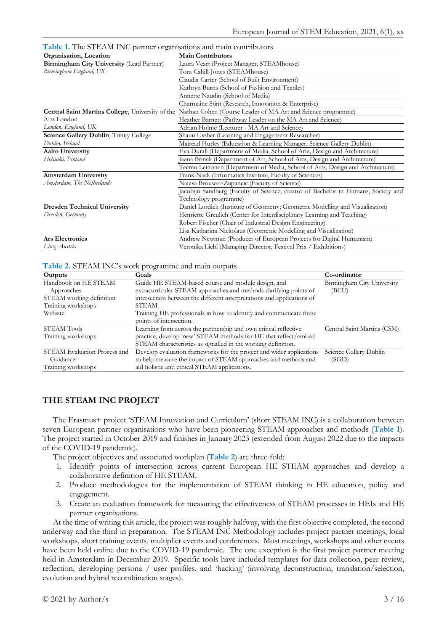**Table 1.** The STEAM INC partner organisations and main contributors

| <b>Table 1.</b> The STERNM HAG partner organisations and main contributors |                                                                                                               |  |  |
|----------------------------------------------------------------------------|---------------------------------------------------------------------------------------------------------------|--|--|
| Organisation, Location                                                     | <b>Main Contributors</b>                                                                                      |  |  |
| Birmingham City University (Lead Partner)                                  | Laura Veart (Project Manager, STEAMhouse)                                                                     |  |  |
| Birmingham England, UK                                                     | Tom Cahill-Jones (STEAMhouse)                                                                                 |  |  |
|                                                                            | Claudia Carter (School of Built Environment)                                                                  |  |  |
|                                                                            | Kathryn Burns (School of Fashion and Textiles)                                                                |  |  |
|                                                                            | Annette Naudin (School of Media)                                                                              |  |  |
|                                                                            | Charmaine Stint (Research, Innovation & Enterprise)                                                           |  |  |
|                                                                            | Central Saint Martins College, University of the Nathan Cohen (Course Leader of MA Art and Science programme) |  |  |
| Arts London                                                                | Heather Barnett (Pathway Leader on the MA Art and Science)                                                    |  |  |
| London, England, UK                                                        | Adrian Holme (Lecturer - MA Art and Science)                                                                  |  |  |
| Science Gallery Dublin, Trinity College                                    | Shaun Ussher (Learning and Engagement Researcher)                                                             |  |  |
| Dublin, Ireland                                                            | Mairéad Hurley (Education & Learning Manager, Science Gallery Dublin)                                         |  |  |
| <b>Aalto University</b>                                                    | Eva Durall (Department of Media, School of Arts, Design and Architecture)                                     |  |  |
| Helsinki, Finland                                                          | Jaana Brinck (Department of Art, School of Arts, Design and Architecture)                                     |  |  |
|                                                                            | Teemu Leinonen (Department of Media, School of Arts, Design and Architecture)                                 |  |  |
| <b>Amsterdam University</b>                                                | Frank Nack (Informatics Institute, Faculty of Sciences)                                                       |  |  |
| Amsterdam, The Netherlands                                                 | Natasa Brouwer-Zupancic (Faculty of Science)                                                                  |  |  |
|                                                                            | Jacobijn Sandberg (Faculty of Science; creator of Bachelor in Humans, Society and                             |  |  |
|                                                                            | Technology programme)                                                                                         |  |  |
| <b>Dresden Technical University</b>                                        | Daniel Lordick (Institute of Geometry; Geometric Modelling and Visualization)                                 |  |  |
| Dresden, Germany                                                           | Henriette Greulich (Center for Interdisciplinary Learning and Teaching)                                       |  |  |
|                                                                            | Robert Fischer (Chair of Industrial Design Engineering)                                                       |  |  |
|                                                                            | Lisa Katharina Nickolaus (Geometric Modelling and Visualization)                                              |  |  |
| Ars Electronica                                                            | Andrew Newman (Producer of European Projects for Digital Humanism)                                            |  |  |
| Linz, Austria                                                              | Veronika Liebl (Managing Director, Festival Prix / Exhibitions)                                               |  |  |

#### **Table 2.** STEAM INC's work programme and main outputs

| Outputs                      | Goals                                                                  | Co-ordinator                |
|------------------------------|------------------------------------------------------------------------|-----------------------------|
| Handbook on HE STEAM         | Guide HE STEAM-based course and module design, and                     | Birmingham City University  |
| Approaches                   | extracurricular STEAM approaches and methods clarifying points of      | (BCU)                       |
| STEAM working definition     | intersection between the different interpretations and applications of |                             |
| Training workshops           | STEAM.                                                                 |                             |
| Website                      | Training HE professionals in how to identify and communicate these     |                             |
|                              | points of intersection.                                                |                             |
| <b>STEAM Tools</b>           | Learning from across the partnership and own critical reflective       | Central Saint Martins (CSM) |
| Training workshops           | practice, develop 'new' STEAM methods for HE that reflect/embed        |                             |
|                              | STEAM characteristics as signalled in the working definition.          |                             |
| STEAM Evaluation Process and | Develop evaluation frameworks for the project and wider applications   | Science Gallery Dublin      |
| Guidance                     | to help measure the impact of STEAM approaches and methods and         | (SGD)                       |
| Training workshops           | aid holistic and ethical STEAM applications.                           |                             |

#### **THE STEAM INC PROJECT**

The Erasmus+ project 'STEAM Innovation and Curriculum' (short STEAM INC) is a collaboration between seven European partner organisations who have been pioneering STEAM approaches and methods (**Table 1**). The project started in October 2019 and finishes in January 2023 (extended from August 2022 due to the impacts of the COVID-19 pandemic).

The project objectives and associated workplan (**Table 2**) are three-fold:

- 1. Identify points of intersection across current European HE STEAM approaches and develop a collaborative definition of HE STEAM.
- 2. Produce methodologies for the implementation of STEAM thinking in HE education, policy and engagement.
- 3. Create an evaluation framework for measuring the effectiveness of STEAM processes in HEIs and HE partner organisations.

At the time of writing this article, the project was roughly halfway, with the first objective completed, the second underway and the third in preparation. The STEAM INC Methodology includes project partner meetings, local workshops, short training events, multiplier events and conferences. Most meetings, workshops and other events have been held online due to the COVID-19 pandemic. The one exception is the first project partner meeting held in Amsterdam in December 2019. Specific tools have included templates for data collection, peer review, reflection, developing persona / user profiles, and 'hacking' (involving deconstruction, translation/selection, evolution and hybrid recombination stages).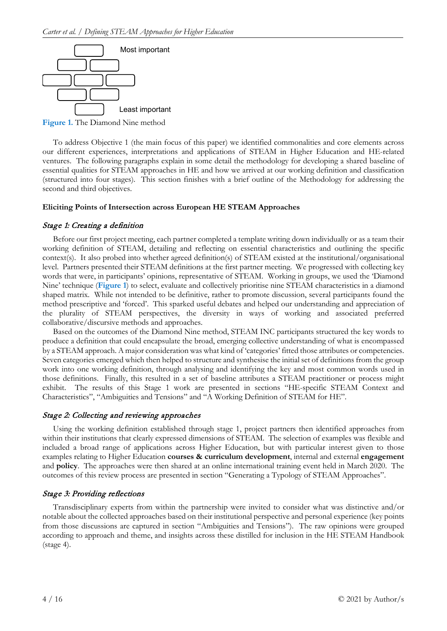

**Figure 1.** The Diamond Nine method

To address Objective 1 (the main focus of this paper) we identified commonalities and core elements across our different experiences, interpretations and applications of STEAM in Higher Education and HE-related ventures. The following paragraphs explain in some detail the methodology for developing a shared baseline of essential qualities for STEAM approaches in HE and how we arrived at our working definition and classification (structured into four stages). This section finishes with a brief outline of the Methodology for addressing the second and third objectives.

# **Eliciting Points of Intersection across European HE STEAM Approaches**

# Stage 1: Creating a definition

Before our first project meeting, each partner completed a template writing down individually or as a team their working definition of STEAM, detailing and reflecting on essential characteristics and outlining the specific context(s). It also probed into whether agreed definition(s) of STEAM existed at the institutional/organisational level. Partners presented their STEAM definitions at the first partner meeting. We progressed with collecting key words that were, in participants' opinions, representative of STEAM. Working in groups, we used the 'Diamond Nine' technique (**Figure 1**) to select, evaluate and collectively prioritise nine STEAM characteristics in a diamond shaped matrix. While not intended to be definitive, rather to promote discussion, several participants found the method prescriptive and 'forced'. This sparked useful debates and helped our understanding and appreciation of the plurality of STEAM perspectives, the diversity in ways of working and associated preferred collaborative/discursive methods and approaches.

Based on the outcomes of the Diamond Nine method, STEAM INC participants structured the key words to produce a definition that could encapsulate the broad, emerging collective understanding of what is encompassed by a STEAM approach. A major consideration was what kind of 'categories' fitted those attributes or competencies. Seven categories emerged which then helped to structure and synthesise the initial set of definitions from the group work into one working definition, through analysing and identifying the key and most common words used in those definitions. Finally, this resulted in a set of baseline attributes a STEAM practitioner or process might exhibit. The results of this Stage 1 work are presented in sections "HE-specific STEAM Context and Characteristics", "Ambiguities and Tensions" and "A Working Definition of STEAM for HE".

# Stage 2: Collecting and reviewing approaches

Using the working definition established through stage 1, project partners then identified approaches from within their institutions that clearly expressed dimensions of STEAM. The selection of examples was flexible and included a broad range of applications across Higher Education, but with particular interest given to those examples relating to Higher Education **courses & curriculum development**, internal and external **engagement** and **policy**. The approaches were then shared at an online international training event held in March 2020. The outcomes of this review process are presented in section "Generating a Typology of STEAM Approaches".

# Stage 3: Providing reflections

Transdisciplinary experts from within the partnership were invited to consider what was distinctive and/or notable about the collected approaches based on their institutional perspective and personal experience (key points from those discussions are captured in section "Ambiguities and Tensions"). The raw opinions were grouped according to approach and theme, and insights across these distilled for inclusion in the HE STEAM Handbook (stage 4).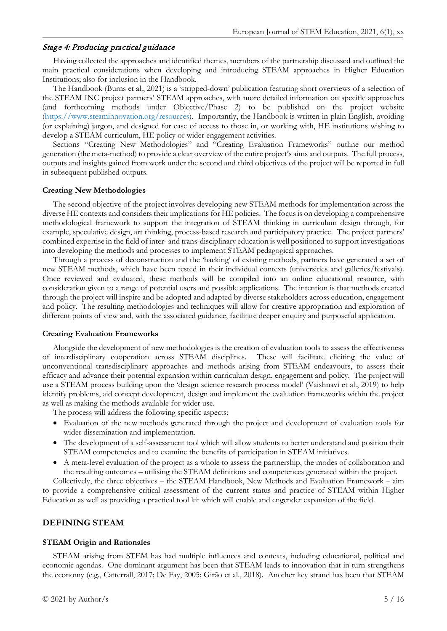# Stage 4: Producing practical guidance

Having collected the approaches and identified themes, members of the partnership discussed and outlined the main practical considerations when developing and introducing STEAM approaches in Higher Education Institutions; also for inclusion in the Handbook.

The Handbook (Burns et al., 2021) is a 'stripped-down' publication featuring short overviews of a selection of the STEAM INC project partners' STEAM approaches, with more detailed information on specific approaches (and forthcoming methods under Objective/Phase 2) to be published on the project website [\(https://www.steaminnovation.org/resources\)](https://www.steaminnovation.org/resources). Importantly, the Handbook is written in plain English, avoiding (or explaining) jargon, and designed for ease of access to those in, or working with, HE institutions wishing to develop a STEAM curriculum, HE policy or wider engagement activities.

Sections "Creating New Methodologies" and "Creating Evaluation Frameworks" outline our method generation (the meta-method) to provide a clear overview of the entire project's aims and outputs. The full process, outputs and insights gained from work under the second and third objectives of the project will be reported in full in subsequent published outputs.

#### **Creating New Methodologies**

The second objective of the project involves developing new STEAM methods for implementation across the diverse HE contexts and considers their implications for HE policies. The focus is on developing a comprehensive methodological framework to support the integration of STEAM thinking in curriculum design through, for example, speculative design, art thinking, process-based research and participatory practice. The project partners' combined expertise in the field of inter- and trans-disciplinary education is well positioned to support investigations into developing the methods and processes to implement STEAM pedagogical approaches.

Through a process of deconstruction and the 'hacking' of existing methods, partners have generated a set of new STEAM methods, which have been tested in their individual contexts (universities and galleries/festivals). Once reviewed and evaluated, these methods will be compiled into an online educational resource, with consideration given to a range of potential users and possible applications. The intention is that methods created through the project will inspire and be adopted and adapted by diverse stakeholders across education, engagement and policy. The resulting methodologies and techniques will allow for creative appropriation and exploration of different points of view and, with the associated guidance, facilitate deeper enquiry and purposeful application.

#### **Creating Evaluation Frameworks**

Alongside the development of new methodologies is the creation of evaluation tools to assess the effectiveness of interdisciplinary cooperation across STEAM disciplines. These will facilitate eliciting the value of unconventional transdisciplinary approaches and methods arising from STEAM endeavours, to assess their efficacy and advance their potential expansion within curriculum design, engagement and policy. The project will use a STEAM process building upon the 'design science research process model' (Vaishnavi et al., 2019) to help identify problems, aid concept development, design and implement the evaluation frameworks within the project as well as making the methods available for wider use.

The process will address the following specific aspects:

- Evaluation of the new methods generated through the project and development of evaluation tools for wider dissemination and implementation.
- The development of a self-assessment tool which will allow students to better understand and position their STEAM competencies and to examine the benefits of participation in STEAM initiatives.
- A meta-level evaluation of the project as a whole to assess the partnership, the modes of collaboration and the resulting outcomes – utilising the STEAM definitions and competences generated within the project.

Collectively, the three objectives – the STEAM Handbook, New Methods and Evaluation Framework – aim to provide a comprehensive critical assessment of the current status and practice of STEAM within Higher Education as well as providing a practical tool kit which will enable and engender expansion of the field.

### **DEFINING STEAM**

#### **STEAM Origin and Rationales**

STEAM arising from STEM has had multiple influences and contexts, including educational, political and economic agendas. One dominant argument has been that STEAM leads to innovation that in turn strengthens the economy (e.g., Catterrall, 2017; De Fay, 2005; Girão et al., 2018). Another key strand has been that STEAM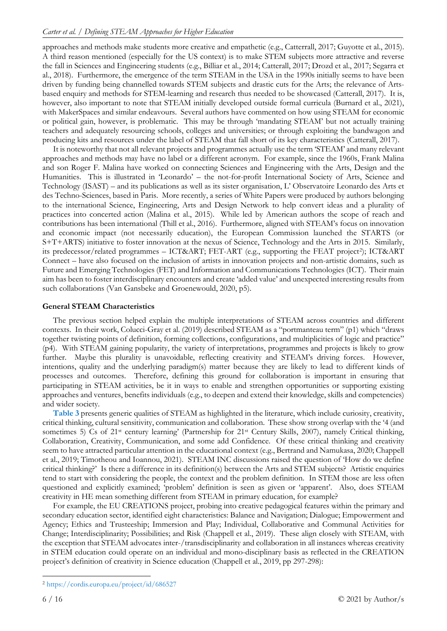approaches and methods make students more creative and empathetic (e.g., Catterrall, 2017; Guyotte et al., 2015). A third reason mentioned (especially for the US context) is to make STEM subjects more attractive and reverse the fall in Sciences and Engineering students (e.g., Billiar et al., 2014; Catterall, 2017; Drozd et al., 2017; Segarra et al., 2018). Furthermore, the emergence of the term STEAM in the USA in the 1990s initially seems to have been driven by funding being channelled towards STEM subjects and drastic cuts for the Arts; the relevance of Artsbased enquiry and methods for STEM-learning and research thus needed to be showcased (Catterall, 2017). It is, however, also important to note that STEAM initially developed outside formal curricula (Burnard et al., 2021), with MakerSpaces and similar endeavours. Several authors have commented on how using STEAM for economic or political gain, however, is problematic. This may be through 'mandating STEAM' but not actually training teachers and adequately resourcing schools, colleges and universities; or through exploiting the bandwagon and producing kits and resources under the label of STEAM that fall short of its key characteristics (Catterall, 2017).

It is noteworthy that not all relevant projects and programmes actually use the term 'STEAM' and many relevant approaches and methods may have no label or a different acronym. For example, since the 1960s, Frank Malina and son Roger F. Malina have worked on connecting Sciences and Engineering with the Arts, Design and the Humanities. This is illustrated in 'Leonardo' – the not-for-profit International Society of Arts, Science and Technology (ISAST) – and its publications as well as its sister organisation, L' Observatoire Leonardo des Arts et des Techno-Sciences, based in Paris. More recently, a series of White Papers were produced by authors belonging to the international Science, Engineering, Arts and Design Network to help convert ideas and a plurality of practices into concerted action (Malina et al., 2015). While led by American authors the scope of reach and contributions has been international (Thill et al., 2016). Furthermore, aligned with STEAM's focus on innovation and economic impact (not necessarily education), the European Commission launched the STARTS (or S+T+ARTS) initiative to foster innovation at the nexus of Science, Technology and the Arts in 2015. Similarly, its predecessor/related programmes – ICT&ART; FET-ART (e.g., supporting the FEAT project<sup>2</sup>); ICT&ART Connect – have also focused on the inclusion of artists in innovation projects and non-artistic domains, such as Future and Emerging Technologies (FET) and Information and Communications Technologies (ICT). Their main aim has been to foster interdisciplinary encounters and create 'added value' and unexpected interesting results from such collaborations (Van Gansbeke and Groenewould, 2020, p5).

# **General STEAM Characteristics**

The previous section helped explain the multiple interpretations of STEAM across countries and different contexts. In their work, Colucci-Gray et al. (2019) described STEAM as a "portmanteau term" (p1) which "draws together twisting points of definition, forming collections, configurations, and multiplicities of logic and practice" (p4). With STEAM gaining popularity, the variety of interpretations, programmes and projects is likely to grow further. Maybe this plurality is unavoidable, reflecting creativity and STEAM's driving forces. However, intentions, quality and the underlying paradigm(s) matter because they are likely to lead to different kinds of processes and outcomes. Therefore, defining this ground for collaboration is important in ensuring that participating in STEAM activities, be it in ways to enable and strengthen opportunities or supporting existing approaches and ventures, benefits individuals (e.g., to deepen and extend their knowledge, skills and competencies) and wider society.

**Table 3** presents generic qualities of STEAM as highlighted in the literature, which include curiosity, creativity, critical thinking, cultural sensitivity, communication and collaboration. These show strong overlap with the '4 (and sometimes 5) Cs of 21<sup>st</sup> century learning' (Partnership for 21<sup>st</sup> Century Skills, 2007), namely Critical thinking, Collaboration, Creativity, Communication, and some add Confidence. Of these critical thinking and creativity seem to have attracted particular attention in the educational context (e.g., Bertrand and Namukasa, 2020; Chappell et al., 2019; Timotheou and Ioannou, 2021). STEAM INC discussions raised the question of 'How do we define critical thinking?' Is there a difference in its definition(s) between the Arts and STEM subjects? Artistic enquiries tend to start with considering the people, the context and the problem definition. In STEM those are less often questioned and explicitly examined; 'problem' definition is seen as given or 'apparent'. Also, does STEAM creativity in HE mean something different from STEAM in primary education, for example?

For example, the EU CREATIONS project, probing into creative pedagogical features within the primary and secondary education sector, identified eight characteristics: Balance and Navigation; Dialogue; Empowerment and Agency; Ethics and Trusteeship; Immersion and Play; Individual, Collaborative and Communal Activities for Change; Interdisciplinarity; Possibilities; and Risk (Chappell et al., 2019). These align closely with STEAM, with the exception that STEAM advocates inter-/transdisciplinarity and collaboration in all instances whereas creativity in STEM education could operate on an individual and mono-disciplinary basis as reflected in the CREATION project's definition of creativity in Science education (Chappell et al., 2019, pp 297-298):

<span id="page-5-0"></span><sup>2</sup> <https://cordis.europa.eu/project/id/686527>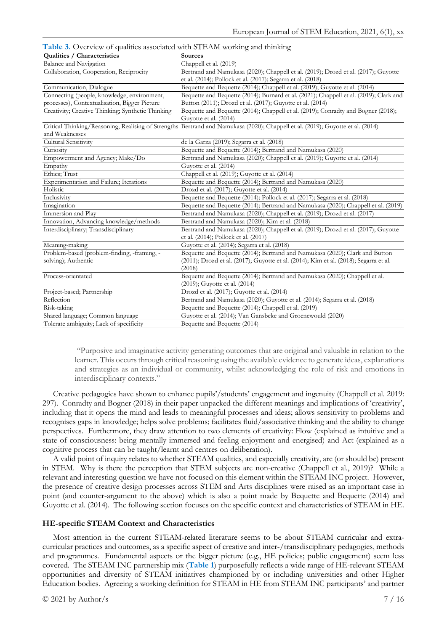**Table 3.** Overview of qualities associated with STEAM working and thinking

| Qualities / Characteristics                       | <b>Sources</b>                                                                                                                  |
|---------------------------------------------------|---------------------------------------------------------------------------------------------------------------------------------|
| Balance and Navigation                            | Chappell et al. (2019)                                                                                                          |
| Collaboration, Cooperation, Reciprocity           | Bertrand and Namukasa (2020); Chappell et al. (2019); Drozd et al. (2017); Guyotte                                              |
|                                                   | et al. (2014); Pollock et al. (2017); Segarra et al. (2018)                                                                     |
| Communication, Dialogue                           | Bequette and Bequette (2014); Chappell et al. (2019); Guyotte et al. (2014)                                                     |
| Connecting (people, knowledge, environment,       | Bequette and Bequette (2014); Burnard et al. (2021); Chappell et al. (2019); Clark and                                          |
| processes), Contextualisation, Bigger Picture     | Button (2011); Drozd et al. (2017); Guyotte et al. (2014)                                                                       |
| Creativity; Creative Thinking; Synthetic Thinking | Bequette and Bequette (2014); Chappell et al. (2019); Conradty and Bogner (2018);<br>Guyotte et al. (2014)                      |
| and Weaknesses                                    | Critical Thinking/Reasoning; Realising of Strengths Bertrand and Namukasa (2020); Chappell et al. (2019); Guyotte et al. (2014) |
| Cultural Sensitivity                              | de la Garza (2019); Segarra et al. (2018)                                                                                       |
| Curiosity                                         | Bequette and Bequette (2014); Bertrand and Namukasa (2020)                                                                      |
|                                                   | Bertrand and Namukasa (2020); Chappell et al. (2019); Guyotte et al. (2014)                                                     |
| Empowerment and Agency; Make/Do                   |                                                                                                                                 |
| Empathy                                           | Guyotte et al. (2014)                                                                                                           |
| Ethics; Trust                                     | Chappell et al. (2019); Guyotte et al. (2014)                                                                                   |
| Experimentation and Failure; Iterations           | Bequette and Bequette (2014); Bertrand and Namukasa (2020)                                                                      |
| Holistic                                          | Drozd et al. (2017); Guyotte et al. (2014)                                                                                      |
| Inclusivity                                       | Bequette and Bequette (2014); Pollock et al. (2017); Segarra et al. (2018)                                                      |
| Imagination                                       | Bequette and Bequette (2014); Bertrand and Namukasa (2020); Chappell et al. (2019)                                              |
| Immersion and Play                                | Bertrand and Namukasa (2020); Chappell et al. (2019); Drozd et al. (2017)                                                       |
| Innovation, Advancing knowledge/methods           | Bertrand and Namukasa (2020); Kim et al. (2018)                                                                                 |
| Interdisciplinary; Transdisciplinary              | Bertrand and Namukasa (2020); Chappell et al. (2019); Drozd et al. (2017); Guyotte<br>et al. (2014); Pollock et al. (2017)      |
| Meaning-making                                    | Guyotte et al. (2014); Segarra et al. (2018)                                                                                    |
| Problem-based (problem-finding, -framing, -       | Bequette and Bequette (2014); Bertrand and Namukasa (2020); Clark and Button                                                    |
| solving); Authentic                               | (2011); Drozd et al. (2017); Guyotte et al. (2014); Kim et al. (2018); Segarra et al.<br>(2018)                                 |
| Process-orientated                                | Bequette and Bequette (2014); Bertrand and Namukasa (2020); Chappell et al.<br>(2019); Guyotte et al. (2014)                    |
| Project-based; Partnership                        | Drozd et al. (2017); Guyotte et al. (2014)                                                                                      |
| Reflection                                        | Bertrand and Namukasa (2020); Guyotte et al. (2014); Segarra et al. (2018)                                                      |
| Risk-taking                                       | Bequette and Bequette (2014); Chappell et al. (2019)                                                                            |
| Shared language; Common language                  | Guyotte et al. (2014); Van Gansbeke and Groenewould (2020)                                                                      |
| Tolerate ambiguity; Lack of specificity           | Bequette and Bequette (2014)                                                                                                    |

"Purposive and imaginative activity generating outcomes that are original and valuable in relation to the learner. This occurs through critical reasoning using the available evidence to generate ideas, explanations and strategies as an individual or community, whilst acknowledging the role of risk and emotions in interdisciplinary contexts."

Creative pedagogies have shown to enhance pupils'/students' engagement and ingenuity (Chappell et al. 2019: 297). Conradty and Bogner (2018) in their paper unpacked the different meanings and implications of 'creativity', including that it opens the mind and leads to meaningful processes and ideas; allows sensitivity to problems and recognises gaps in knowledge; helps solve problems; facilitates fluid/associative thinking and the ability to change perspectives. Furthermore, they draw attention to two elements of creativity: Flow (explained as intuitive and a state of consciousness: being mentally immersed and feeling enjoyment and energised) and Act (explained as a cognitive process that can be taught/learnt and centres on deliberation).

A valid point of inquiry relates to whether STEAM qualities, and especially creativity, are (or should be) present in STEM. Why is there the perception that STEM subjects are non-creative (Chappell et al., 2019)? While a relevant and interesting question we have not focused on this element within the STEAM INC project. However, the presence of creative design processes across STEM and Arts disciplines were raised as an important case in point (and counter-argument to the above) which is also a point made by Bequette and Bequette (2014) and Guyotte et al. (2014). The following section focuses on the specific context and characteristics of STEAM in HE.

#### **HE-specific STEAM Context and Characteristics**

Most attention in the current STEAM-related literature seems to be about STEAM curricular and extracurricular practices and outcomes, as a specific aspect of creative and inter-/transdisciplinary pedagogies, methods and programmes. Fundamental aspects or the bigger picture (e.g., HE policies; public engagement) seem less covered. The STEAM INC partnership mix (**Table 1**) purposefully reflects a wide range of HE-relevant STEAM opportunities and diversity of STEAM initiatives championed by or including universities and other Higher Education bodies. Agreeing a working definition for STEAM in HE from STEAM INC participants' and partner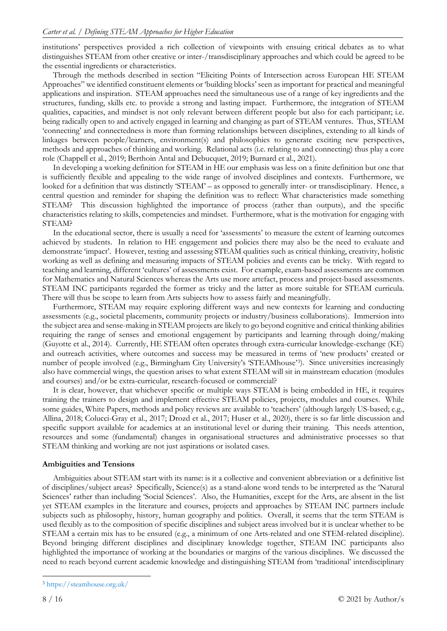institutions' perspectives provided a rich collection of viewpoints with ensuing critical debates as to what distinguishes STEAM from other creative or inter-/transdisciplinary approaches and which could be agreed to be the essential ingredients or characteristics.

Through the methods described in section "Eliciting Points of Intersection across European HE STEAM Approaches" we identified constituent elements or 'building blocks' seen as important for practical and meaningful applications and inspiration. STEAM approaches need the simultaneous use of a range of key ingredients and the structures, funding, skills etc. to provide a strong and lasting impact. Furthermore, the integration of STEAM qualities, capacities, and mindset is not only relevant between different people but also for each participant; i.e. being radically open to and actively engaged in learning and changing as part of STEAM ventures. Thus, STEAM 'connecting' and connectedness is more than forming relationships between disciplines, extending to all kinds of linkages between people/learners, environment(s) and philosophies to generate exciting new perspectives, methods and approaches of thinking and working. Relational acts (i.e. relating to and connecting) thus play a core role (Chappell et al., 2019; Berthoin Antal and Debucquet, 2019; Burnard et al., 2021).

In developing a working definition for STEAM in HE our emphasis was less on a finite definition but one that is sufficiently flexible and appealing to the wide range of involved disciplines and contexts. Furthermore, we looked for a definition that was distinctly 'STEAM' – as opposed to generally inter- or transdisciplinary. Hence, a central question and reminder for shaping the definition was to reflect: What characteristics made something STEAM? This discussion highlighted the importance of process (rather than outputs), and the specific characteristics relating to skills, competencies and mindset. Furthermore, what is the motivation for engaging with STEAM?

In the educational sector, there is usually a need for 'assessments' to measure the extent of learning outcomes achieved by students. In relation to HE engagement and policies there may also be the need to evaluate and demonstrate 'impact'. However, testing and assessing STEAM qualities such as critical thinking, creativity, holistic working as well as defining and measuring impacts of STEAM policies and events can be tricky. With regard to teaching and learning, different 'cultures' of assessments exist. For example, exam-based assessments are common for Mathematics and Natural Sciences whereas the Arts use more artefact, process and project-based assessments. STEAM INC participants regarded the former as tricky and the latter as more suitable for STEAM curricula. There will thus be scope to learn from Arts subjects how to assess fairly and meaningfully.

Furthermore, STEAM may require exploring different ways and new contexts for learning and conducting assessments (e.g., societal placements, community projects or industry/business collaborations). Immersion into the subject area and sense-making in STEAM projects are likely to go beyond cognitive and critical thinking abilities requiring the range of senses and emotional engagement by participants and learning through doing/making (Guyotte et al., 2014). Currently, HE STEAM often operates through extra-curricular knowledge-exchange (KE) and outreach activities, where outcomes and success may be measured in terms of 'new products' created or number of people involved (e.g., Birmingham City University's 'STEAMhouse'[3](#page-7-0)). Since universities increasingly also have commercial wings, the question arises to what extent STEAM will sit in mainstream education (modules and courses) and/or be extra-curricular, research-focused or commercial?

It is clear, however, that whichever specific or multiple ways STEAM is being embedded in HE, it requires training the trainers to design and implement effective STEAM policies, projects, modules and courses. While some guides, White Papers, methods and policy reviews are available to 'teachers' (although largely US-based; e.g., Allina, 2018; Colucci-Gray et al., 2017; Drozd et al., 2017; Huser et al., 2020), there is so far little discussion and specific support available for academics at an institutional level or during their training. This needs attention, resources and some (fundamental) changes in organisational structures and administrative processes so that STEAM thinking and working are not just aspirations or isolated cases.

# **Ambiguities and Tensions**

Ambiguities about STEAM start with its name: is it a collective and convenient abbreviation or a definitive list of disciplines/subject areas? Specifically, Science(s) as a stand-alone word tends to be interpreted as the 'Natural Sciences' rather than including 'Social Sciences'. Also, the Humanities, except for the Arts, are absent in the list yet STEAM examples in the literature and courses, projects and approaches by STEAM INC partners include subjects such as philosophy, history, human geography and politics. Overall, it seems that the term STEAM is used flexibly as to the composition of specific disciplines and subject areas involved but it is unclear whether to be STEAM a certain mix has to be ensured (e.g., a minimum of one Arts-related and one STEM-related discipline). Beyond bringing different disciplines and disciplinary knowledge together, STEAM INC participants also highlighted the importance of working at the boundaries or margins of the various disciplines. We discussed the need to reach beyond current academic knowledge and distinguishing STEAM from 'traditional' interdisciplinary

<span id="page-7-0"></span><sup>3</sup> <https://steamhouse.org.uk/>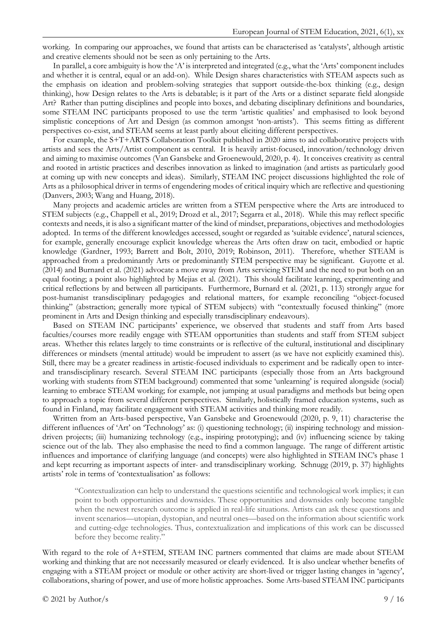working. In comparing our approaches, we found that artists can be characterised as 'catalysts', although artistic and creative elements should not be seen as only pertaining to the Arts.

In parallel, a core ambiguity is how the 'A' is interpreted and integrated (e.g., what the 'Arts' component includes and whether it is central, equal or an add-on). While Design shares characteristics with STEAM aspects such as the emphasis on ideation and problem-solving strategies that support outside-the-box thinking (e.g., design thinking), how Design relates to the Arts is debatable; is it part of the Arts or a distinct separate field alongside Art? Rather than putting disciplines and people into boxes, and debating disciplinary definitions and boundaries, some STEAM INC participants proposed to use the term 'artistic qualities' and emphasised to look beyond simplistic conceptions of Art and Design (as common amongst 'non-artists'). This seems fitting as different perspectives co-exist, and STEAM seems at least partly about eliciting different perspectives.

For example, the S+T+ARTS Collaboration Toolkit published in 2020 aims to aid collaborative projects with artists and sees the Arts/Artist component as central. It is heavily artist-focused, innovation/technology driven and aiming to maximise outcomes (Van Gansbeke and Groenewould, 2020, p. 4). It conceives creativity as central and rooted in artistic practices and describes innovation as linked to imagination (and artists as particularly good at coming up with new concepts and ideas). Similarly, STEAM INC project discussions highlighted the role of Arts as a philosophical driver in terms of engendering modes of critical inquiry which are reflective and questioning (Danvers, 2003; Wang and Huang, 2018).

Many projects and academic articles are written from a STEM perspective where the Arts are introduced to STEM subjects (e.g., Chappell et al., 2019; Drozd et al., 2017; Segarra et al., 2018). While this may reflect specific contexts and needs, it is also a significant matter of the kind of mindset, preparations, objectives and methodologies adopted. In terms of the different knowledges accessed, sought or regarded as 'suitable evidence', natural sciences, for example, generally encourage explicit knowledge whereas the Arts often draw on tacit, embodied or haptic knowledge (Gardner, 1993; Barrett and Bolt, 2010, 2019; Robinson, 2011). Therefore, whether STEAM is approached from a predominantly Arts or predominantly STEM perspective may be significant. Guyotte et al. (2014) and Burnard et al. (2021) advocate a move away from Arts servicing STEM and the need to put both on an equal footing; a point also highlighted by Mejias et al. (2021). This should facilitate learning, experimenting and critical reflections by and between all participants. Furthermore, Burnard et al. (2021, p. 113) strongly argue for post-humanist transdisciplinary pedagogies and relational matters, for example reconciling "object-focused thinking" (abstraction; generally more typical of STEM subjects) with "contextually focused thinking" (more prominent in Arts and Design thinking and especially transdisciplinary endeavours).

Based on STEAM INC participants' experience, we observed that students and staff from Arts based faculties/courses more readily engage with STEAM opportunities than students and staff from STEM subject areas. Whether this relates largely to time constraints or is reflective of the cultural, institutional and disciplinary differences or mindsets (mental attitude) would be imprudent to assert (as we have not explicitly examined this). Still, there may be a greater readiness in artistic-focused individuals to experiment and be radically open to interand transdisciplinary research. Several STEAM INC participants (especially those from an Arts background working with students from STEM background) commented that some 'unlearning' is required alongside (social) learning to embrace STEAM working; for example, not jumping at usual paradigms and methods but being open to approach a topic from several different perspectives. Similarly, holistically framed education systems, such as found in Finland, may facilitate engagement with STEAM activities and thinking more readily.

Written from an Arts-based perspective, Van Gansbeke and Groenewould (2020, p. 9, 11) characterise the different influences of 'Art' on 'Technology' as: (i) questioning technology; (ii) inspiring technology and missiondriven projects; (iii) humanizing technology (e.g., inspiring prototyping); and (iv) influencing science by taking science out of the lab. They also emphasise the need to find a common language. The range of different artistic influences and importance of clarifying language (and concepts) were also highlighted in STEAM INC's phase 1 and kept recurring as important aspects of inter- and transdisciplinary working. Schnugg (2019, p. 37) highlights artists' role in terms of 'contextualisation' as follows:

"Contextualization can help to understand the questions scientific and technological work implies; it can point to both opportunities and downsides. These opportunities and downsides only become tangible when the newest research outcome is applied in real-life situations. Artists can ask these questions and invent scenarios—utopian, dystopian, and neutral ones—based on the information about scientific work and cutting-edge technologies. Thus, contextualization and implications of this work can be discussed before they become reality."

With regard to the role of A+STEM, STEAM INC partners commented that claims are made about STEAM working and thinking that are not necessarily measured or clearly evidenced. It is also unclear whether benefits of engaging with a STEAM project or module or other activity are short-lived or trigger lasting changes in 'agency', collaborations, sharing of power, and use of more holistic approaches. Some Arts-based STEAM INC participants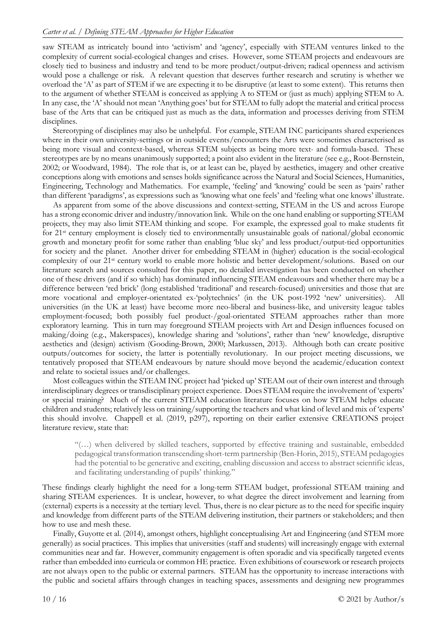saw STEAM as intricately bound into 'activism' and 'agency', especially with STEAM ventures linked to the complexity of current social-ecological changes and crises. However, some STEAM projects and endeavours are closely tied to business and industry and tend to be more product/output-driven; radical openness and activism would pose a challenge or risk. A relevant question that deserves further research and scrutiny is whether we overload the 'A' as part of STEM if we are expecting it to be disruptive (at least to some extent). This returns then to the argument of whether STEAM is conceived as applying A to STEM or (just as much) applying STEM to A. In any case, the 'A' should not mean 'Anything goes' but for STEAM to fully adopt the material and critical process base of the Arts that can be critiqued just as much as the data, information and processes deriving from STEM disciplines.

Stereotyping of disciplines may also be unhelpful. For example, STEAM INC participants shared experiences where in their own university-settings or in outside events/encounters the Arts were sometimes characterised as being more visual and context-based, whereas STEM subjects as being more text- and formula-based. These stereotypes are by no means unanimously supported; a point also evident in the literature (see e.g., Root-Bernstein, 2002; or Woodward, 1984). The role that is, or at least can be, played by aesthetics, imagery and other creative conceptions along with emotions and senses holds significance across the Natural and Social Sciences, Humanities, Engineering, Technology and Mathematics. For example, 'feeling' and 'knowing' could be seen as 'pairs' rather than different 'paradigms', as expressions such as 'knowing what one feels' and 'feeling what one knows' illustrate.

As apparent from some of the above discussions and context-setting, STEAM in the US and across Europe has a strong economic driver and industry/innovation link. While on the one hand enabling or supporting STEAM projects, they may also limit STEAM thinking and scope. For example, the expressed goal to make students fit for 21st century employment is closely tied to environmentally unsustainable goals of national/global economic growth and monetary profit for some rather than enabling 'blue sky' and less product/output-tied opportunities for society and the planet. Another driver for embedding STEAM in (higher) education is the social-ecological complexity of our 21st century world to enable more holistic and better development/solutions. Based on our literature search and sources consulted for this paper, no detailed investigation has been conducted on whether one of these drivers (and if so which) has dominated influencing STEAM endeavours and whether there may be a difference between 'red brick' (long established 'traditional' and research-focused) universities and those that are more vocational and employer-orientated ex-'polytechnics' (in the UK post-1992 'new' universities). All universities (in the UK at least) have become more neo-liberal and business-like, and university league tables employment-focused; both possibly fuel product-/goal-orientated STEAM approaches rather than more exploratory learning. This in turn may foreground STEAM projects with Art and Design influences focused on making/doing (e.g., Makerspaces), knowledge sharing and 'solutions', rather than 'new' knowledge, disruptive aesthetics and (design) activism (Gooding-Brown, 2000; Markussen, 2013). Although both can create positive outputs/outcomes for society, the latter is potentially revolutionary. In our project meeting discussions, we tentatively proposed that STEAM endeavours by nature should move beyond the academic/education context and relate to societal issues and/or challenges.

Most colleagues within the STEAM INC project had 'picked up' STEAM out of their own interest and through interdisciplinary degrees or transdisciplinary project experience. Does STEAM require the involvement of 'experts' or special training? Much of the current STEAM education literature focuses on how STEAM helps educate children and students; relatively less on training/supporting the teachers and what kind of level and mix of 'experts' this should involve. Chappell et al. (2019, p297), reporting on their earlier extensive CREATIONS project literature review, state that:

"(…) when delivered by skilled teachers, supported by effective training and sustainable, embedded pedagogical transformation transcending short-term partnership (Ben-Horin, 2015), STEAM pedagogies had the potential to be generative and exciting, enabling discussion and access to abstract scientific ideas, and facilitating understanding of pupils' thinking."

These findings clearly highlight the need for a long-term STEAM budget, professional STEAM training and sharing STEAM experiences. It is unclear, however, to what degree the direct involvement and learning from (external) experts is a necessity at the tertiary level. Thus, there is no clear picture as to the need for specific inquiry and knowledge from different parts of the STEAM delivering institution, their partners or stakeholders; and then how to use and mesh these.

Finally, Guyotte et al. (2014), amongst others, highlight conceptualising Art and Engineering (and STEM more generally) as social practices. This implies that universities (staff and students) will increasingly engage with external communities near and far. However, community engagement is often sporadic and via specifically targeted events rather than embedded into curricula or common HE practice. Even exhibitions of coursework or research projects are not always open to the public or external partners. STEAM has the opportunity to increase interactions with the public and societal affairs through changes in teaching spaces, assessments and designing new programmes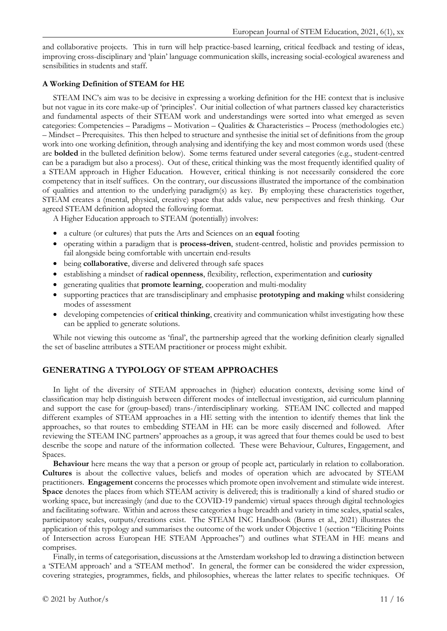and collaborative projects. This in turn will help practice-based learning, critical feedback and testing of ideas, improving cross-disciplinary and 'plain' language communication skills, increasing social-ecological awareness and sensibilities in students and staff.

# **A Working Definition of STEAM for HE**

STEAM INC's aim was to be decisive in expressing a working definition for the HE context that is inclusive but not vague in its core make-up of 'principles'. Our initial collection of what partners classed key characteristics and fundamental aspects of their STEAM work and understandings were sorted into what emerged as seven categories: Competencies – Paradigms – Motivation – Qualities & Characteristics – Process (methodologies etc.) – Mindset – Prerequisites. This then helped to structure and synthesise the initial set of definitions from the group work into one working definition, through analysing and identifying the key and most common words used (these are **bolded** in the bulleted definition below). Some terms featured under several categories (e.g., student-centred can be a paradigm but also a process). Out of these, critical thinking was the most frequently identified quality of a STEAM approach in Higher Education. However, critical thinking is not necessarily considered the core competency that in itself suffices. On the contrary, our discussions illustrated the importance of the combination of qualities and attention to the underlying paradigm(s) as key. By employing these characteristics together, STEAM creates a (mental, physical, creative) space that adds value, new perspectives and fresh thinking. Our agreed STEAM definition adopted the following format.

A Higher Education approach to STEAM (potentially) involves:

- a culture (or cultures) that puts the Arts and Sciences on an **equal** footing
- operating within a paradigm that is **process-driven**, student-centred, holistic and provides permission to fail alongside being comfortable with uncertain end-results
- being **collaborative**, diverse and delivered through safe spaces
- establishing a mindset of **radical openness**, flexibility, reflection, experimentation and **curiosity**
- generating qualities that **promote learning**, cooperation and multi-modality
- supporting practices that are transdisciplinary and emphasise **prototyping and making** whilst considering modes of assessment
- developing competencies of **critical thinking**, creativity and communication whilst investigating how these can be applied to generate solutions.

While not viewing this outcome as 'final', the partnership agreed that the working definition clearly signalled the set of baseline attributes a STEAM practitioner or process might exhibit.

# **GENERATING A TYPOLOGY OF STEAM APPROACHES**

In light of the diversity of STEAM approaches in (higher) education contexts, devising some kind of classification may help distinguish between different modes of intellectual investigation, aid curriculum planning and support the case for (group-based) trans-/interdisciplinary working. STEAM INC collected and mapped different examples of STEAM approaches in a HE setting with the intention to identify themes that link the approaches, so that routes to embedding STEAM in HE can be more easily discerned and followed. After reviewing the STEAM INC partners' approaches as a group, it was agreed that four themes could be used to best describe the scope and nature of the information collected. These were Behaviour, Cultures, Engagement, and Spaces.

**Behaviour** here means the way that a person or group of people act, particularly in relation to collaboration. **Cultures** is about the collective values, beliefs and modes of operation which are advocated by STEAM practitioners. **Engagement** concerns the processes which promote open involvement and stimulate wide interest. **Space** denotes the places from which STEAM activity is delivered; this is traditionally a kind of shared studio or working space, but increasingly (and due to the COVID-19 pandemic) virtual spaces through digital technologies and facilitating software. Within and across these categories a huge breadth and variety in time scales, spatial scales, participatory scales, outputs/creations exist. The STEAM INC Handbook (Burns et al., 2021) illustrates the application of this typology and summarises the outcome of the work under Objective 1 (section "Eliciting Points of Intersection across European HE STEAM Approaches") and outlines what STEAM in HE means and comprises.

Finally, in terms of categorisation, discussions at the Amsterdam workshop led to drawing a distinction between a 'STEAM approach' and a 'STEAM method'. In general, the former can be considered the wider expression, covering strategies, programmes, fields, and philosophies, whereas the latter relates to specific techniques. Of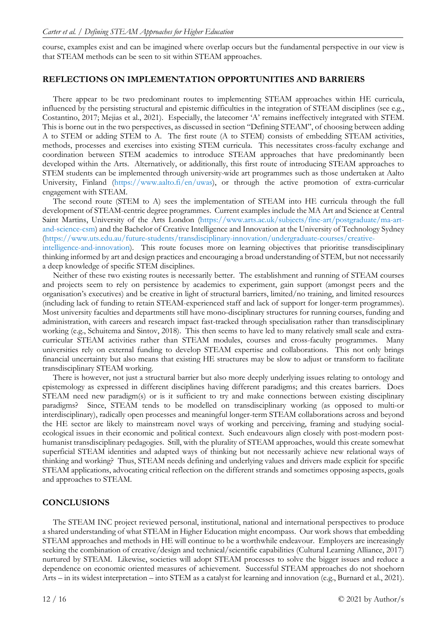course, examples exist and can be imagined where overlap occurs but the fundamental perspective in our view is that STEAM methods can be seen to sit within STEAM approaches.

# **REFLECTIONS ON IMPLEMENTATION OPPORTUNITIES AND BARRIERS**

There appear to be two predominant routes to implementing STEAM approaches within HE curricula, influenced by the persisting structural and epistemic difficulties in the integration of STEAM disciplines (see e.g., Costantino, 2017; Mejias et al., 2021). Especially, the latecomer 'A' remains ineffectively integrated with STEM. This is borne out in the two perspectives, as discussed in section "Defining STEAM", of choosing between adding A to STEM or adding STEM to A. The first route (A to STEM) consists of embedding STEAM activities, methods, processes and exercises into existing STEM curricula. This necessitates cross-faculty exchange and coordination between STEM academics to introduce STEAM approaches that have predominantly been developed within the Arts. Alternatively, or additionally, this first route of introducing STEAM approaches to STEM students can be implemented through university-wide art programmes such as those undertaken at Aalto University, Finland [\(https://www.aalto.fi/en/uwas\)](https://www.aalto.fi/en/uwas), or through the active promotion of extra-curricular engagement with STEAM.

The second route (STEM to A) sees the implementation of STEAM into HE curricula through the full development of STEAM-centric degree programmes. Current examples include the MA Art and Science at Central Saint Martins, University of the Arts London [\(https://www.arts.ac.uk/subjects/fine-art/postgraduate/ma-art](https://www.arts.ac.uk/subjects/fine-art/postgraduate/ma-art-and-science-csm)[and-science-csm\)](https://www.arts.ac.uk/subjects/fine-art/postgraduate/ma-art-and-science-csm) and the Bachelor of Creative Intelligence and Innovation at the University of Technology Sydney [\(https://www.uts.edu.au/future-students/transdisciplinary-innovation/undergraduate-courses/creative](https://www.uts.edu.au/future-students/transdisciplinary-innovation/undergraduate-courses/creative-intelligence-and-innovation)[intelligence-and-innovation\)](https://www.uts.edu.au/future-students/transdisciplinary-innovation/undergraduate-courses/creative-intelligence-and-innovation). This route focuses more on learning objectives that prioritise transdisciplinary thinking informed by art and design practices and encouraging a broad understanding of STEM, but not necessarily a deep knowledge of specific STEM disciplines.

Neither of these two existing routes is necessarily better. The establishment and running of STEAM courses and projects seem to rely on persistence by academics to experiment, gain support (amongst peers and the organisation's executives) and be creative in light of structural barriers, limited/no training, and limited resources (including lack of funding to retain STEAM-experienced staff and lack of support for longer-term programmes). Most university faculties and departments still have mono-disciplinary structures for running courses, funding and administration, with careers and research impact fast-tracked through specialisation rather than transdisciplinary working (e.g., Schuitema and Sintov, 2018). This then seems to have led to many relatively small scale and extracurricular STEAM activities rather than STEAM modules, courses and cross-faculty programmes. Many universities rely on external funding to develop STEAM expertise and collaborations. This not only brings financial uncertainty but also means that existing HE structures may be slow to adjust or transform to facilitate transdisciplinary STEAM working.

There is however, not just a structural barrier but also more deeply underlying issues relating to ontology and epistemology as expressed in different disciplines having different paradigms; and this creates barriers. Does STEAM need new paradigm(s) or is it sufficient to try and make connections between existing disciplinary paradigms? Since, STEAM tends to be modelled on transdisciplinary working (as opposed to multi-or interdisciplinary), radically open processes and meaningful longer-term STEAM collaborations across and beyond the HE sector are likely to mainstream novel ways of working and perceiving, framing and studying socialecological issues in their economic and political context. Such endeavours align closely with post-modern posthumanist transdisciplinary pedagogies. Still, with the plurality of STEAM approaches, would this create somewhat superficial STEAM identities and adapted ways of thinking but not necessarily achieve new relational ways of thinking and working? Thus, STEAM needs defining and underlying values and drivers made explicit for specific STEAM applications, advocating critical reflection on the different strands and sometimes opposing aspects, goals and approaches to STEAM.

# **CONCLUSIONS**

The STEAM INC project reviewed personal, institutional, national and international perspectives to produce a shared understanding of what STEAM in Higher Education might encompass. Our work shows that embedding STEAM approaches and methods in HE will continue to be a worthwhile endeavour. Employers are increasingly seeking the combination of creative/design and technical/scientific capabilities (Cultural Learning Alliance, 2017) nurtured by STEAM. Likewise, societies will adopt STEAM processes to solve the bigger issues and reduce a dependence on economic oriented measures of achievement. Successful STEAM approaches do not shoehorn Arts – in its widest interpretation – into STEM as a catalyst for learning and innovation (e.g., Burnard et al., 2021).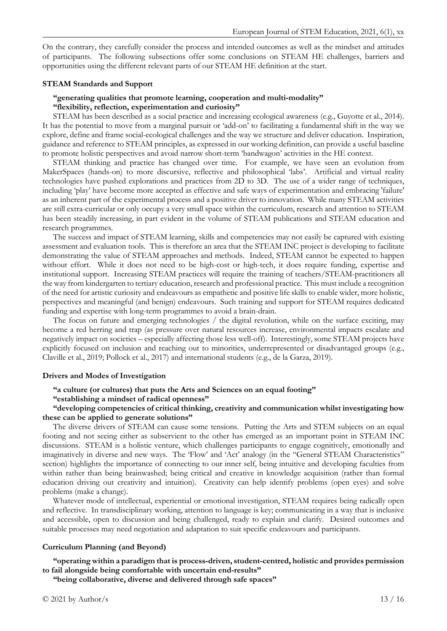On the contrary, they carefully consider the process and intended outcomes as well as the mindset and attitudes of participants. The following subsections offer some conclusions on STEAM HE challenges, barriers and opportunities using the different relevant parts of our STEAM HE definition at the start.

#### **STEAM Standards and Support**

### **"generating qualities that promote learning, cooperation and multi-modality" "flexibility, reflection, experimentation and curiosity"**

STEAM has been described as a social practice and increasing ecological awareness (e.g., Guyotte et al., 2014). It has the potential to move from a marginal pursuit or 'add-on' to facilitating a fundamental shift in the way we explore, define and frame social-ecological challenges and the way we structure and deliver education. Inspiration, guidance and reference to STEAM principles, as expressed in our working definition, can provide a useful baseline to promote holistic perspectives and avoid narrow short-term 'bandwagon' activities in the HE context.

STEAM thinking and practice has changed over time. For example, we have seen an evolution from MakerSpaces (hands-on) to more discursive, reflective and philosophical 'labs'. Artificial and virtual reality technologies have pushed explorations and practices from 2D to 3D. The use of a wider range of techniques, including 'play' have become more accepted as effective and safe ways of experimentation and embracing 'failure' as an inherent part of the experimental process and a positive driver to innovation. While many STEAM activities are still extra-curricular or only occupy a very small space within the curriculum, research and attention to STEAM has been steadily increasing, in part evident in the volume of STEAM publications and STEAM education and research programmes.

The success and impact of STEAM learning, skills and competencies may not easily be captured with existing assessment and evaluation tools. This is therefore an area that the STEAM INC project is developing to facilitate demonstrating the value of STEAM approaches and methods. Indeed, STEAM cannot be expected to happen without effort. While it does not need to be high-cost or high-tech, it does require funding, expertise and institutional support. Increasing STEAM practices will require the training of teachers/STEAM-practitioners all the way from kindergarten to tertiary education, research and professional practice. This must include a recognition of the need for artistic curiosity and endeavours as empathetic and positive life skills to enable wider, more holistic, perspectives and meaningful (and benign) endeavours. Such training and support for STEAM requires dedicated funding and expertise with long-term programmes to avoid a brain-drain.

The focus on future and emerging technologies / the digital revolution, while on the surface exciting, may become a red herring and trap (as pressure over natural resources increase, environmental impacts escalate and negatively impact on societies – especially affecting those less well-off). Interestingly, some STEAM projects have explicitly focused on inclusion and reaching out to minorities, underrepresented or disadvantaged groups (e.g., Claville et al., 2019; Pollock et al., 2017) and international students (e.g., de la Garza, 2019).

#### **Drivers and Modes of Investigation**

# **"a culture (or cultures) that puts the Arts and Sciences on an equal footing"**

# **"establishing a mindset of radical openness"**

# **"developing competencies of critical thinking, creativity and communication whilst investigating how these can be applied to generate solutions"**

The diverse drivers of STEAM can cause some tensions. Putting the Arts and STEM subjects on an equal footing and not seeing either as subservient to the other has emerged as an important point in STEAM INC discussions. STEAM is a holistic venture, which challenges participants to engage cognitively, emotionally and imaginatively in diverse and new ways. The 'Flow' and 'Act' analogy (in the "General STEAM Characteristics" section) highlights the importance of connecting to our inner self, being intuitive and developing faculties from within rather than being brainwashed; being critical and creative in knowledge acquisition (rather than formal education driving out creativity and intuition). Creativity can help identify problems (open eyes) and solve problems (make a change).

Whatever mode of intellectual, experiential or emotional investigation, STEAM requires being radically open and reflective. In transdisciplinary working, attention to language is key; communicating in a way that is inclusive and accessible, open to discussion and being challenged, ready to explain and clarify. Desired outcomes and suitable processes may need negotiation and adaptation to suit specific endeavours and participants.

#### **Curriculum Planning (and Beyond)**

#### **"operating within a paradigm that is process-driven, student-centred, holistic and provides permission to fail alongside being comfortable with uncertain end-results"**

**"being collaborative, diverse and delivered through safe spaces"**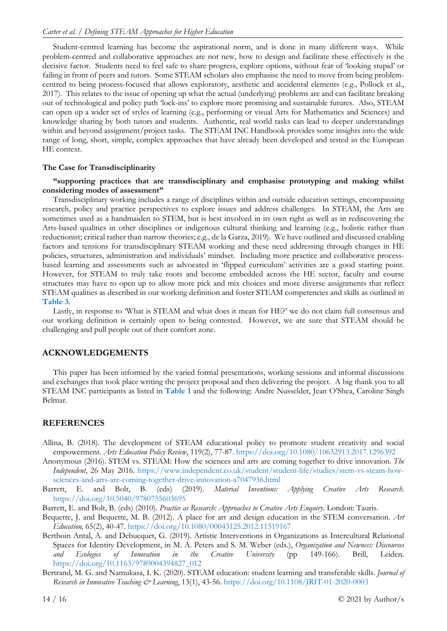Student-centred learning has become the aspirational norm, and is done in many different ways. While problem-centred and collaborative approaches are not new, how to design and facilitate these effectively is the decisive factor. Students need to feel safe to share progress, explore options, without fear of 'looking stupid' or failing in front of peers and tutors. Some STEAM scholars also emphasise the need to move from being problemcentred to being process-focused that allows exploratory, aesthetic and accidental elements (e.g., Pollock et al., 2017). This relates to the issue of opening up what the actual (underlying) problems are and can facilitate breaking out of technological and policy path 'lock-ins' to explore more promising and sustainable futures. Also, STEAM can open up a wider set of styles of learning (e.g., performing or visual Arts for Mathematics and Sciences) and knowledge sharing by both tutors and students. Authentic, real world tasks can lead to deeper understandings within and beyond assignment/project tasks. The STEAM INC Handbook provides some insights into the wide range of long, short, simple, complex approaches that have already been developed and tested in the European HE context.

#### **The Case for Transdisciplinarity**

#### **"supporting practices that are transdisciplinary and emphasise prototyping and making whilst considering modes of assessment"**

Transdisciplinary working includes a range of disciplines within and outside education settings, encompassing research, policy and practice perspectives to explore issues and address challenges. In STEAM, the Arts are sometimes used as a handmaiden to STEM, but is best involved in its own right as well as in rediscovering the Arts-based qualities in other disciplines or indigenous cultural thinking and learning (e.g., holistic rather than reductionist; critical rather than narrow theories; e.g., de la Garza, 2019). We have outlined and discussed enabling factors and tensions for transdisciplinary STEAM working and these need addressing through changes in HE policies, structures, administration and individuals' mindset. Including more practice and collaborative processbased learning and assessments such as advocated in 'flipped curriculum' activities are a good starting point. However, for STEAM to truly take roots and become embedded across the HE sector, faculty and course structures may have to open up to allow more pick and mix choices and more diverse assignments that reflect STEAM qualities as described in our working definition and foster STEAM competencies and skills as outlined in **Table 3**.

Lastly, in response to 'What is STEAM and what does it mean for HE?' we do not claim full consensus and our working definition is certainly open to being contested. However, we are sure that STEAM should be challenging and pull people out of their comfort zone.

#### **ACKNOWLEDGEMENTS**

This paper has been informed by the varied formal presentations, working sessions and informal discussions and exchanges that took place writing the project proposal and then delivering the project. A big thank you to all STEAM INC participants as listed in **Table 1** and the following: Andre Nusselder, Jean O'Shea, Caroline Singh Belmar.

### **REFERENCES**

- Allina, B. (2018). The development of STEAM educational policy to promote student creativity and social empowerment. *Arts Education Policy Review*, 119(2), 77-87.<https://doi.org/10.1080/10632913.2017.1296392>
- Anonymous (2016). STEM vs. STEAM: How the sciences and arts are coming together to drive innovation. *The Independent*, 26 May 2016. [https://www.independent.co.uk/student/student-life/studies/stem-vs-steam-how](https://www.independent.co.uk/student/student-life/studies/stem-vs-steam-how-sciences-and-arts-are-coming-together-drive-innovation-a7047936.html)[sciences-and-arts-are-coming-together-drive-innovation-a7047936.html](https://www.independent.co.uk/student/student-life/studies/stem-vs-steam-how-sciences-and-arts-are-coming-together-drive-innovation-a7047936.html)
- Barrett, E. and Bolt, B. (eds) (2019). *Material Inventions: Applying Creative Arts Research*. <https://doi.org/10.5040/9780755603695>
- Barrett, E. and Bolt, B. (eds) (2010). *Practice as Research: Approaches to Creative Arts Enquiry*. London: Tauris.
- Bequette, J. and Bequette, M. B. (2012). A place for art and design education in the STEM conversation. *Art Education,* 65(2), 40-47. <https://doi.org/10.1080/00043125.2012.11519167>
- Berthoin Antal, A. and Debucquet, G. (2019). Artistic Interventions in Organizations as Intercultural Relational Spaces for Identity Development, in M. A. Peters and S. M. Weber (eds.), *Organization and Newness: Discourses and Ecologies of Innovation in the Creative University* (pp 149-166). Brill, Leiden. [https://doi.org/10.1163/9789004394827\\_012](https://doi.org/10.1163/9789004394827_012)
- Bertrand, M. G. and Namukasa, I. K. (2020). STEAM education: student learning and transferable skills. *Journal of Research in Innovative Teaching & Learning*, 13(1), 43-56. <https://doi.org/10.1108/JRIT-01-2020-0003>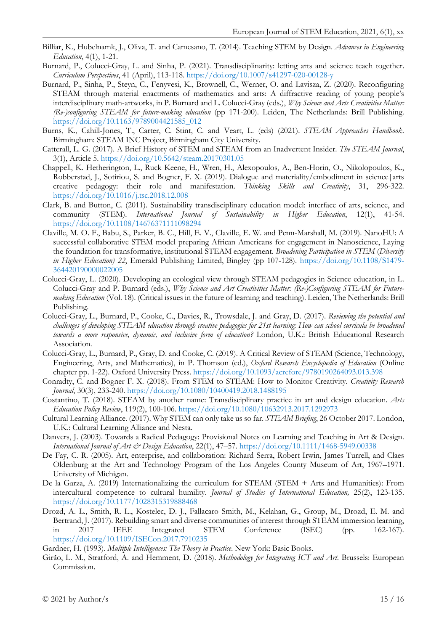- Billiar, K., Hubelnamk, J., Oliva, T. and Camesano, T. (2014). Teaching STEM by Design. *Advances in Engineering Education*, 4(1), 1-21.
- Burnard, P., Colucci-Gray, L. and Sinha, P. (2021). Transdisciplinarity: letting arts and science teach together. *Curriculum Perspectives*, 41 (April), 113-118. <https://doi.org/10.1007/s41297-020-00128-y>
- Burnard, P., Sinha, P., Steyn, C., Fenyvesi, K., Brownell, C., Werner, O. and Lavisza, Z. (2020). Reconfiguring STEAM through material enactments of mathematics and arts: A diffractive reading of young people's interdisciplinary math-artworks, in P. Burnard and L. Colucci-Gray (eds.), *Why Science and Arts Creativities Matter: (Re-)configuring STEAM for future-making education* (pp 171-200). Leiden, The Netherlands: Brill Publishing. [https://doi.org/10.1163/9789004421585\\_012](https://doi.org/10.1163/9789004421585_012)
- Burns, K., Cahill-Jones, T., Carter, C. Stint, C. and Veart, L. (eds) (2021). *STEAM Approaches Handbook*. Birmingham: STEAM INC Project, Birmingham City University.
- Catterall, L. G. (2017). A Brief History of STEM and STEAM from an Inadvertent Insider. *The STEAM Journal*, 3(1), Article 5.<https://doi.org/10.5642/steam.20170301.05>
- Chappell, K. Hetherington, L., Ruck Keene, H., Wren, H., Alexopoulos, A., Ben-Horin, O., Nikolopoulos, K., Robberstad, J., Sotiriou, S. and Bogner, F. X. (2019). Dialogue and materiality/embodiment in science|arts creative pedagogy: their role and manifestation. *Thinking Skills and Creativity*, 31, 296-322. <https://doi.org/10.1016/j.tsc.2018.12.008>
- Clark, B. and Button, C. (2011). Sustainability transdisciplinary education model: interface of arts, science, and community (STEM). *International Journal of Sustainability in Higher Education*, 12(1), 41-54. <https://doi.org/10.1108/14676371111098294>
- Claville, M. O. F., Babu, S., Parker, B. C., Hill, E. V., Claville, E. W. and Penn-Marshall, M. (2019). NanoHU: A successful collaborative STEM model preparing African Americans for engagement in Nanoscience, Laying the foundation for transformative, institutional STEAM engagement. *Broadening Participation in STEM* (*Diversity in Higher Education) 22*, Emerald Publishing Limited, Bingley (pp 107-128). [https://doi.org/10.1108/S1479-](https://doi.org/10.1108/S1479-364420190000022005) [364420190000022005](https://doi.org/10.1108/S1479-364420190000022005)
- Colucci-Gray, L. (2020). Developing an ecological view through STEAM pedagogies in Science education, in L. Colucci-Gray and P. Burnard (eds.), *Why Science and Art Creativities Matter: (Re-)Configuring STEAM for Futuremaking Education* (Vol. 18). (Critical issues in the future of learning and teaching). Leiden, The Netherlands: Brill Publishing.
- Colucci-Gray, L., Burnard, P., Cooke, C., Davies, R., Trowsdale, J. and Gray, D. (2017). *Reviewing the potential and challenges of developing STEAM education through creative pedagogies for 21st learning: How can school curricula be broadened towards a more responsive, dynamic, and inclusive form of education?* London, U.K.: British Educational Research Association.
- Colucci-Gray, L., Burnard, P., Gray, D. and Cooke, C. (2019). A Critical Review of STEAM (Science, Technology, Engineering, Arts, and Mathematics), in P. Thomson (ed.), *Oxford Research Encyclopedia of Education* (Online chapter pp. 1-22). Oxford University Press.<https://doi.org/10.1093/acrefore/9780190264093.013.398>
- Conradty, C. and Bogner F. X. (2018). From STEM to STEAM: How to Monitor Creativity. *Creativity Research Journal*, 30(3), 233-240.<https://doi.org/10.1080/10400419.2018.1488195>
- Costantino, T. (2018). STEAM by another name: Transdisciplinary practice in art and design education. *Arts Education Policy Review*, 119(2), 100-106. <https://doi.org/10.1080/10632913.2017.1292973>
- Cultural Learning Alliance. (2017). Why STEM can only take us so far. *STEAM Briefing*, 26 October 2017. London, U.K.: Cultural Learning Alliance and Nesta.
- Danvers, J. (2003). Towards a Radical Pedagogy: Provisional Notes on Learning and Teaching in Art & Design. *International Journal of Art & Design Education*, 22(1), 47–57.<https://doi.org/10.1111/1468-5949.00338>
- De Fay, C. R. (2005). Art, enterprise, and collaboration: Richard Serra, Robert Irwin, James Turrell, and Claes Oldenburg at the Art and Technology Program of the Los Angeles County Museum of Art, 1967–1971. University of Michigan.
- De la Garza, A. (2019) Internationalizing the curriculum for STEAM (STEM + Arts and Humanities): From intercultural competence to cultural humility. *Journal of Studies of International Education,* 25(2), 123-135. <https://doi.org/10.1177/1028315319888468>
- Drozd, A. L., Smith, R. L., Kostelec, D. J., Fallacaro Smith, M., Kelahan, G., Group, M., Drozd, E. M. and Bertrand, J. (2017). Rebuilding smart and diverse communities of interest through STEAM immersion learning, in 2017 IEEE Integrated STEM Conference (ISEC) (pp. 162-167). <https://doi.org/10.1109/ISECon.2017.7910235>

Gardner, H. (1993). *Multiple Intelligences: The Theory in Practice*. New York: Basic Books.

Girão, L. M., Stratford, A. and Hemment, D. (2018). *Methodology for Integrating ICT and Art*. Brussels: European Commission.